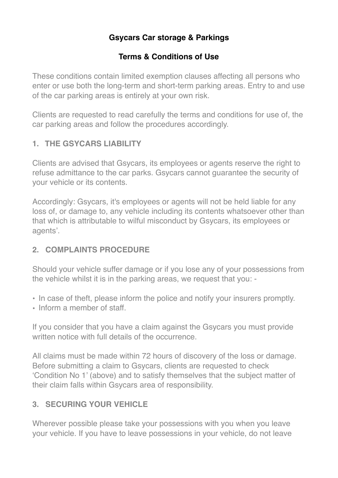# **Gsycars Car storage & Parkings**

### **Terms & Conditions of Use**

These conditions contain limited exemption clauses affecting all persons who enter or use both the long-term and short-term parking areas. Entry to and use of the car parking areas is entirely at your own risk.

Clients are requested to read carefully the terms and conditions for use of, the car parking areas and follow the procedures accordingly.

### **1. THE GSYCARS LIABILITY**

Clients are advised that Gsycars, its employees or agents reserve the right to refuse admittance to the car parks. Gsycars cannot guarantee the security of your vehicle or its contents.

Accordingly: Gsycars, it's employees or agents will not be held liable for any loss of, or damage to, any vehicle including its contents whatsoever other than that which is attributable to wilful misconduct by Gsycars, its employees or agents'.

#### **2. COMPLAINTS PROCEDURE**

Should your vehicle suffer damage or if you lose any of your possessions from the vehicle whilst it is in the parking areas, we request that you: -

- In case of theft, please inform the police and notify your insurers promptly.
- Inform a member of staff

If you consider that you have a claim against the Gsycars you must provide written notice with full details of the occurrence.

All claims must be made within 72 hours of discovery of the loss or damage. Before submitting a claim to Gsycars, clients are requested to check 'Condition No 1' (above) and to satisfy themselves that the subject matter of their claim falls within Gsycars area of responsibility.

## **3. SECURING YOUR VEHICLE**

Wherever possible please take your possessions with you when you leave your vehicle. If you have to leave possessions in your vehicle, do not leave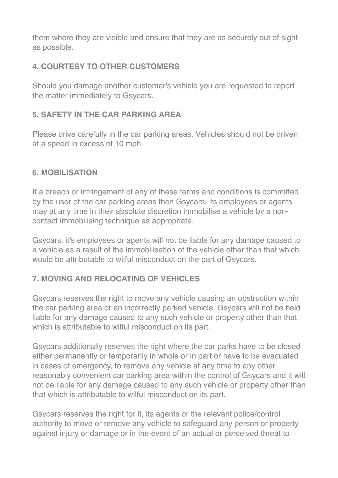them where they are visible and ensure that they are as securely out of sight as possible.

# **4. COURTESY TO OTHER CUSTOMERS**

Should you damage another customer's vehicle you are requested to report the matter immediately to Gsycars.

## **5. SAFETY IN THE CAR PARKING AREA**

Please drive carefully in the car parking areas. Vehicles should not be driven at a speed in excess of 10 mph.

#### **6. MOBILISATION**

If a breach or infringement of any of these terms and conditions is committed by the user of the car parkIng areas then Gsycars, its employees or agents may at any time in their absolute discretion immobilise a vehicle by a noncontact immobilising technique as appropriate.

Gsycars, it's employees or agents will not be liable for any damage caused to a vehicle as a result of the immobilisation of the vehicle other than that which would be attributable to wilful misconduct on the part of Gsycars.

## **7. MOVING AND RELOCATING OF VEHICLES**

Gsycars reserves the right to move any vehicle causing an obstruction within the car parking area or an incorrectly parked vehicle. Gsycars will not be held liable for any damage caused to any such vehicle or property other than that which is attributable to wilful misconduct on its part.

Gsycars additionally reserves the right where the car parks have to be closed either permanently or temporarily in whole or in part or have to be evacuated in cases of emergency, to remove any vehicle at any time to any other reasonably convenient car parking area within the control of Gsycars and it will not be liable for any damage caused to any such vehicle or property other than that which is attributable to wilful misconduct on its part.

Gsycars reserves the right for it, its agents or the relevant police/control authority to move or remove any vehicle to safeguard any person or property against injury or damage or in the event of an actual or perceived threat to